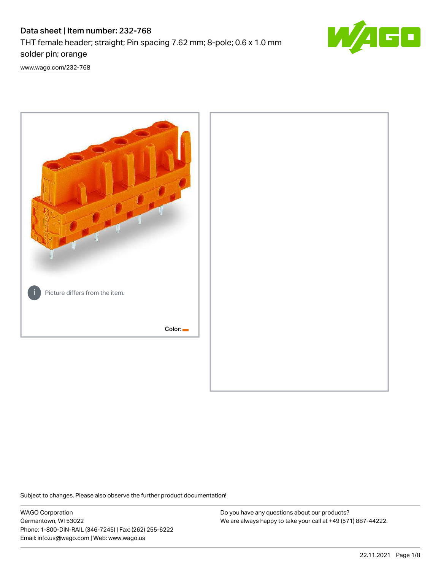# Data sheet | Item number: 232-768 THT female header; straight; Pin spacing 7.62 mm; 8-pole; 0.6 x 1.0 mm



solder pin; orange [www.wago.com/232-768](http://www.wago.com/232-768)



Subject to changes. Please also observe the further product documentation!

WAGO Corporation Germantown, WI 53022 Phone: 1-800-DIN-RAIL (346-7245) | Fax: (262) 255-6222 Email: info.us@wago.com | Web: www.wago.us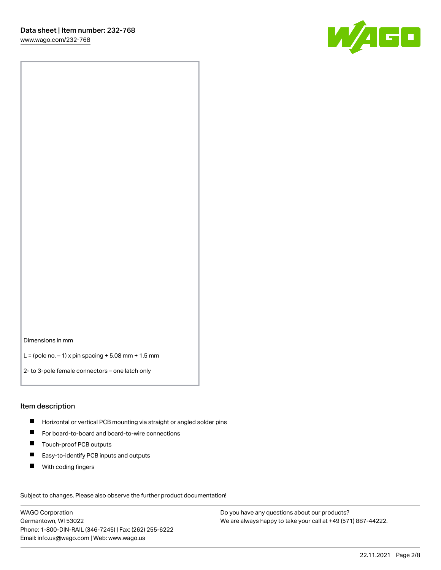

Dimensions in mm

L = (pole no.  $-1$ ) x pin spacing + 5.08 mm + 1.5 mm

2- to 3-pole female connectors – one latch only

#### Item description

- **Horizontal or vertical PCB mounting via straight or angled solder pins**
- For board-to-board and board-to-wire connections
- Touch-proof PCB outputs  $\blacksquare$
- $\blacksquare$ Easy-to-identify PCB inputs and outputs
- $\blacksquare$ With coding fingers

Subject to changes. Please also observe the further product documentation! Data

WAGO Corporation Germantown, WI 53022 Phone: 1-800-DIN-RAIL (346-7245) | Fax: (262) 255-6222 Email: info.us@wago.com | Web: www.wago.us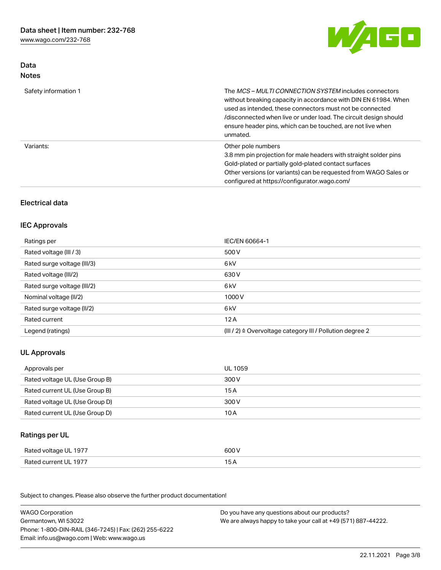[www.wago.com/232-768](http://www.wago.com/232-768)

Data Notes



| Safety information 1 | The <i>MCS – MULTI CONNECTION SYSTEM</i> includes connectors<br>without breaking capacity in accordance with DIN EN 61984. When<br>used as intended, these connectors must not be connected<br>/disconnected when live or under load. The circuit design should<br>ensure header pins, which can be touched, are not live when<br>unmated. |
|----------------------|--------------------------------------------------------------------------------------------------------------------------------------------------------------------------------------------------------------------------------------------------------------------------------------------------------------------------------------------|
| Variants:            | Other pole numbers<br>3.8 mm pin projection for male headers with straight solder pins<br>Gold-plated or partially gold-plated contact surfaces<br>Other versions (or variants) can be requested from WAGO Sales or<br>configured at https://configurator.wago.com/                                                                        |

# Electrical data

#### IEC Approvals

| Ratings per                 | IEC/EN 60664-1                                                        |
|-----------------------------|-----------------------------------------------------------------------|
| Rated voltage (III / 3)     | 500 V                                                                 |
| Rated surge voltage (III/3) | 6 kV                                                                  |
| Rated voltage (III/2)       | 630 V                                                                 |
| Rated surge voltage (III/2) | 6 kV                                                                  |
| Nominal voltage (II/2)      | 1000 V                                                                |
| Rated surge voltage (II/2)  | 6 kV                                                                  |
| Rated current               | 12A                                                                   |
| Legend (ratings)            | $(III / 2)$ $\triangle$ Overvoltage category III / Pollution degree 2 |

# UL Approvals

| Approvals per                  | UL 1059 |
|--------------------------------|---------|
| Rated voltage UL (Use Group B) | 300 V   |
| Rated current UL (Use Group B) | 15 A    |
| Rated voltage UL (Use Group D) | 300 V   |
| Rated current UL (Use Group D) | 10 A    |

# Ratings per UL

| Rated voltage UL 1977 | 600 V |
|-----------------------|-------|
| Rated current UL 1977 | 15 A  |

| <b>WAGO Corporation</b>                                | Do you have any questions about our products?                 |
|--------------------------------------------------------|---------------------------------------------------------------|
| Germantown, WI 53022                                   | We are always happy to take your call at +49 (571) 887-44222. |
| Phone: 1-800-DIN-RAIL (346-7245)   Fax: (262) 255-6222 |                                                               |
| Email: info.us@wago.com   Web: www.wago.us             |                                                               |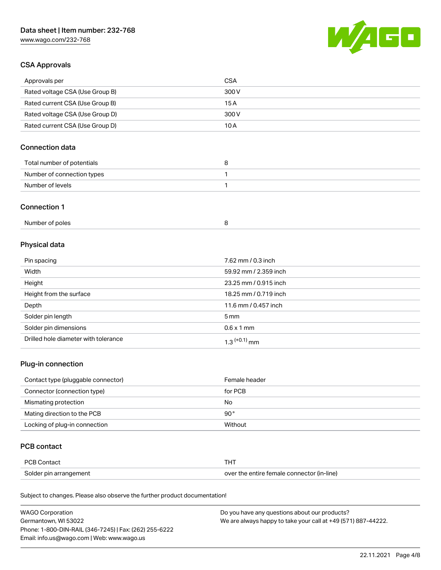[www.wago.com/232-768](http://www.wago.com/232-768)



# CSA Approvals

| Approvals per                   | CSA   |
|---------------------------------|-------|
| Rated voltage CSA (Use Group B) | 300 V |
| Rated current CSA (Use Group B) | 15 A  |
| Rated voltage CSA (Use Group D) | 300 V |
| Rated current CSA (Use Group D) | 10 A  |

# Connection data

| Total number of potentials |  |
|----------------------------|--|
| Number of connection types |  |
| Number of levels           |  |

#### Connection 1

| Number of poles |  |  |
|-----------------|--|--|
|-----------------|--|--|

# Physical data

| Pin spacing                          | 7.62 mm / 0.3 inch    |
|--------------------------------------|-----------------------|
| Width                                | 59.92 mm / 2.359 inch |
| Height                               | 23.25 mm / 0.915 inch |
| Height from the surface              | 18.25 mm / 0.719 inch |
| Depth                                | 11.6 mm / 0.457 inch  |
| Solder pin length                    | 5 mm                  |
| Solder pin dimensions                | $0.6 \times 1$ mm     |
| Drilled hole diameter with tolerance | $1.3$ $(+0.1)$ mm     |

# Plug-in connection

| Contact type (pluggable connector) | Female header |
|------------------------------------|---------------|
| Connector (connection type)        | for PCB       |
| Mismating protection               | No            |
| Mating direction to the PCB        | $90^{\circ}$  |
| Locking of plug-in connection      | Without       |

# PCB contact

| PCB Contact            | тнт                                        |
|------------------------|--------------------------------------------|
| Solder pin arrangement | over the entire female connector (in-line) |

| <b>WAGO Corporation</b>                                | Do you have any questions about our products?                 |
|--------------------------------------------------------|---------------------------------------------------------------|
| Germantown, WI 53022                                   | We are always happy to take your call at +49 (571) 887-44222. |
| Phone: 1-800-DIN-RAIL (346-7245)   Fax: (262) 255-6222 |                                                               |
| Email: info.us@wago.com   Web: www.wago.us             |                                                               |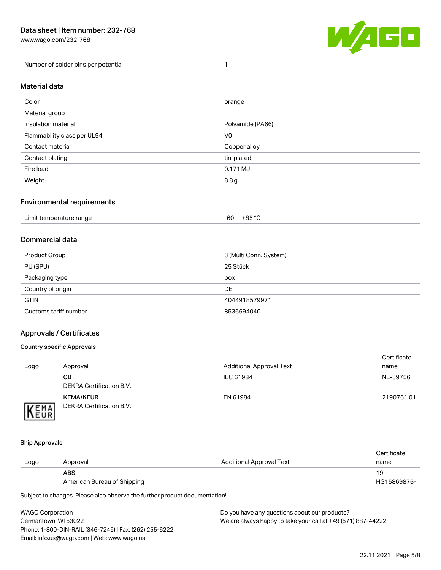Number of solder pins per potential 1



#### Material data

| Color                       | orange           |
|-----------------------------|------------------|
| Material group              |                  |
| Insulation material         | Polyamide (PA66) |
| Flammability class per UL94 | V <sub>0</sub>   |
| Contact material            | Copper alloy     |
| Contact plating             | tin-plated       |
| Fire load                   | 0.171 MJ         |
| Weight                      | 8.8g             |

#### Environmental requirements

| Limit temperature range<br>. | . +85 °C<br>-60 |  |
|------------------------------|-----------------|--|
|------------------------------|-----------------|--|

# Commercial data

| 3 (Multi Conn. System)<br>Product Group |               |
|-----------------------------------------|---------------|
| PU (SPU)                                | 25 Stück      |
| Packaging type                          | box           |
| Country of origin                       | <b>DE</b>     |
| <b>GTIN</b>                             | 4044918579971 |
| Customs tariff number                   | 8536694040    |

# Approvals / Certificates

#### Country specific Approvals

| Logo                | Approval                                     | <b>Additional Approval Text</b> | Certificate<br>name |
|---------------------|----------------------------------------------|---------------------------------|---------------------|
|                     | CВ<br>DEKRA Certification B.V.               | IEC 61984                       | NL-39756            |
| EMA<br><b>INEUR</b> | <b>KEMA/KEUR</b><br>DEKRA Certification B.V. | EN 61984                        | 2190761.01          |

#### Ship Approvals

|      |                             |                                 | Certificate |
|------|-----------------------------|---------------------------------|-------------|
| Logo | Approval                    | <b>Additional Approval Text</b> | name        |
|      | <b>ABS</b>                  | $\sim$                          | 19-         |
|      | American Bureau of Shipping |                                 | HG15869876- |

| WAGO Corporation                                       | Do you have any questions about our products?                 |
|--------------------------------------------------------|---------------------------------------------------------------|
| Germantown, WI 53022                                   | We are always happy to take your call at +49 (571) 887-44222. |
| Phone: 1-800-DIN-RAIL (346-7245)   Fax: (262) 255-6222 |                                                               |
| Email: info.us@wago.com   Web: www.wago.us             |                                                               |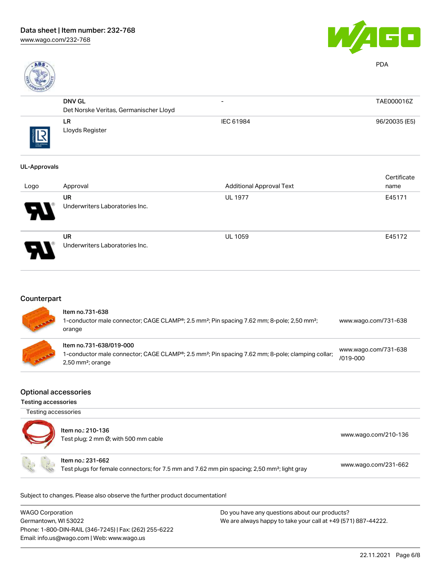



PDA

| ROVED     |                                        |                          |               |
|-----------|----------------------------------------|--------------------------|---------------|
|           | <b>DNV GL</b>                          | $\overline{\phantom{0}}$ | TAE000016Z    |
|           | Det Norske Veritas, Germanischer Lloyd |                          |               |
| THE ARROW | LR.<br>Lloyds Register                 | IEC 61984                | 96/20035 (E5) |

#### UL-Approvals

|      |                                |                                 | Certificate |
|------|--------------------------------|---------------------------------|-------------|
| Logo | Approval                       | <b>Additional Approval Text</b> | name        |
|      | <b>UR</b>                      | <b>UL 1977</b>                  | E45171      |
| 8    | Underwriters Laboratories Inc. |                                 |             |
|      | <b>UR</b>                      | <b>UL 1059</b>                  | E45172      |
| ρ    | Underwriters Laboratories Inc. |                                 |             |

# **Counterpart**

| <b>COMPANY</b> | Item no.731-638<br>1-conductor male connector; CAGE CLAMP <sup>®</sup> ; 2.5 mm <sup>2</sup> ; Pin spacing 7.62 mm; 8-pole; 2,50 mm <sup>2</sup> ;<br>orange               | www.wago.com/731-638                 |
|----------------|----------------------------------------------------------------------------------------------------------------------------------------------------------------------------|--------------------------------------|
| <b>ARRAIGN</b> | Item no.731-638/019-000<br>1-conductor male connector; CAGE CLAMP®; 2.5 mm <sup>2</sup> ; Pin spacing 7.62 mm; 8-pole; clamping collar;<br>$2,50$ mm <sup>2</sup> ; orange | www.wago.com/731-638<br>$/019 - 000$ |

#### Optional accessories

Testing accessories

Testing accessories

| Item no.: 210-136<br>Test plug; 2 mm Ø; with 500 mm cable |                                                                                                                              | www.wago.com/210-136 |
|-----------------------------------------------------------|------------------------------------------------------------------------------------------------------------------------------|----------------------|
|                                                           | Item no.: 231-662<br>Test plugs for female connectors; for 7.5 mm and 7.62 mm pin spacing; 2,50 mm <sup>2</sup> ; light gray | www.wago.com/231-662 |

| <b>WAGO Corporation</b>                                | Do you have any questions about our products?                 |
|--------------------------------------------------------|---------------------------------------------------------------|
| Germantown, WI 53022                                   | We are always happy to take your call at +49 (571) 887-44222. |
| Phone: 1-800-DIN-RAIL (346-7245)   Fax: (262) 255-6222 |                                                               |
| Email: info.us@wago.com   Web: www.wago.us             |                                                               |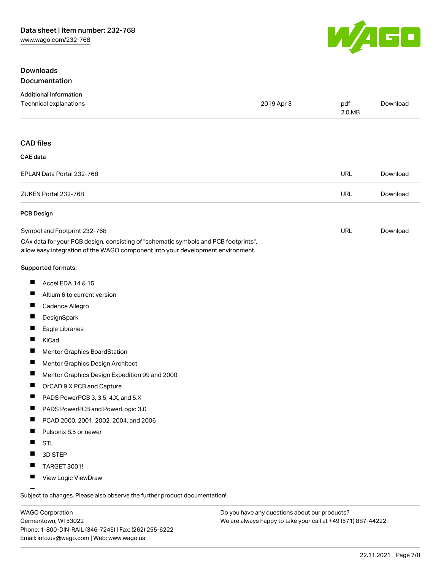#### **Downloads Documentation**



| <b>Additional Information</b>                                                                                                                                          |            |               |          |
|------------------------------------------------------------------------------------------------------------------------------------------------------------------------|------------|---------------|----------|
| Technical explanations                                                                                                                                                 | 2019 Apr 3 | pdf<br>2.0 MB | Download |
| <b>CAD files</b>                                                                                                                                                       |            |               |          |
| <b>CAE</b> data                                                                                                                                                        |            |               |          |
| EPLAN Data Portal 232-768                                                                                                                                              |            | <b>URL</b>    | Download |
| ZUKEN Portal 232-768                                                                                                                                                   |            | <b>URL</b>    | Download |
| <b>PCB Design</b>                                                                                                                                                      |            |               |          |
| Symbol and Footprint 232-768                                                                                                                                           |            | <b>URL</b>    | Download |
| CAx data for your PCB design, consisting of "schematic symbols and PCB footprints",<br>allow easy integration of the WAGO component into your development environment. |            |               |          |
| Supported formats:                                                                                                                                                     |            |               |          |
| ш<br>Accel EDA 14 & 15                                                                                                                                                 |            |               |          |
| ш<br>Altium 6 to current version                                                                                                                                       |            |               |          |
| $\blacksquare$<br>Cadence Allegro                                                                                                                                      |            |               |          |
| Ш<br>DesignSpark                                                                                                                                                       |            |               |          |
| ш<br>Eagle Libraries                                                                                                                                                   |            |               |          |
| Ш<br>KiCad                                                                                                                                                             |            |               |          |
| ш<br>Mentor Graphics BoardStation                                                                                                                                      |            |               |          |
| ш<br>Mentor Graphics Design Architect                                                                                                                                  |            |               |          |
| П<br>Mentor Graphics Design Expedition 99 and 2000                                                                                                                     |            |               |          |
| ш<br>OrCAD 9.X PCB and Capture                                                                                                                                         |            |               |          |
| ш<br>PADS PowerPCB 3, 3.5, 4.X, and 5.X                                                                                                                                |            |               |          |
| Ш<br>PADS PowerPCB and PowerLogic 3.0                                                                                                                                  |            |               |          |
| ш<br>PCAD 2000, 2001, 2002, 2004, and 2006                                                                                                                             |            |               |          |
| Pulsonix 8.5 or newer                                                                                                                                                  |            |               |          |
| <b>STL</b>                                                                                                                                                             |            |               |          |
| 3D STEP                                                                                                                                                                |            |               |          |
| TARGET 3001!<br>ш                                                                                                                                                      |            |               |          |

 $\blacksquare$ View Logic ViewDraw

Subject to changes. Please also observe the further product documentation!

WAGO Corporation Germantown, WI 53022 Phone: 1-800-DIN-RAIL (346-7245) | Fax: (262) 255-6222 Email: info.us@wago.com | Web: www.wago.us